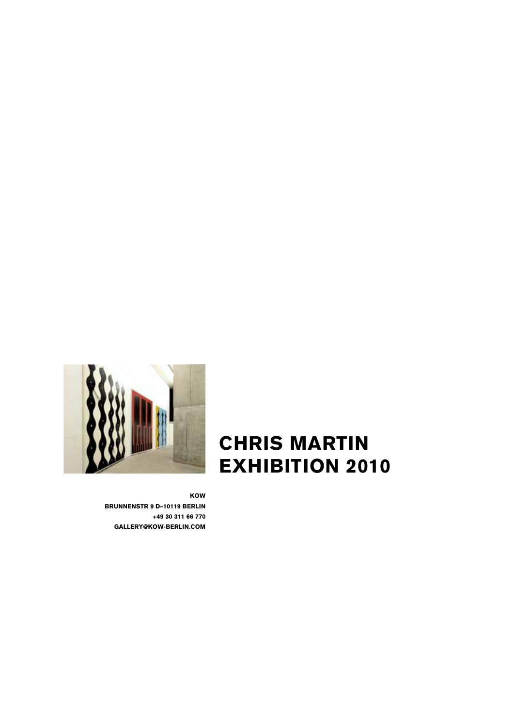

CHRIS MARTIN EXHIBITION 2010

KOW BRUNNENSTR 9 D–10119 BERLIN +49 30 311 66 770 GALLERY@KOW-BERLIN.COM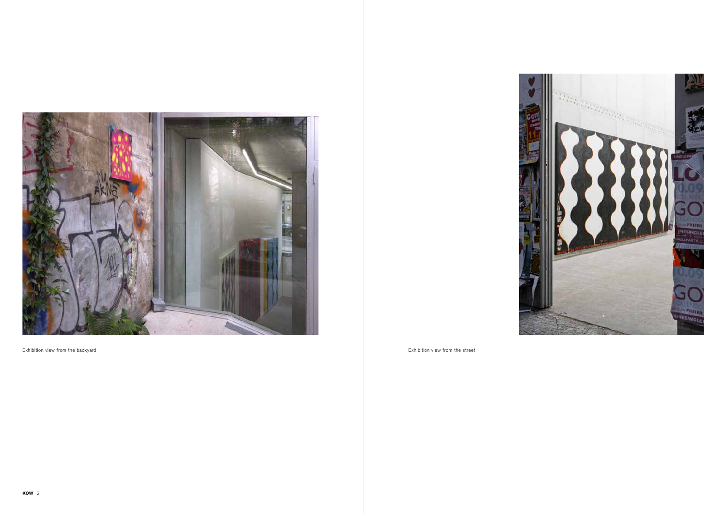

Exhibition view from the backyard extraction of the street street of the street of the street of the street of the street of the street of the street of the street of the street of the street of the street of the street of

KOW 2

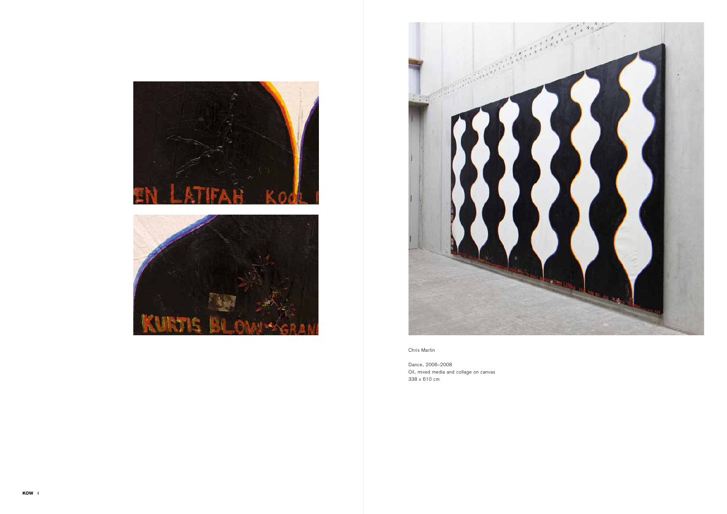





Dance, 2006–2008 Oil, mixed media and collage on canvas 338 x 610 cm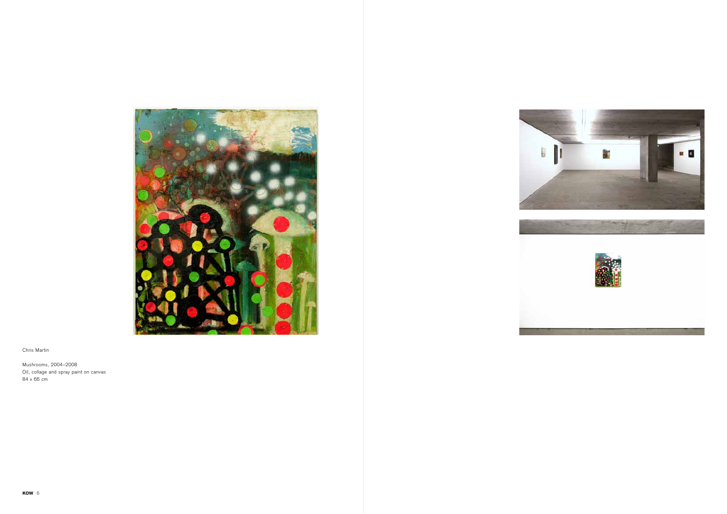

Mushrooms, 2004–2008 Oil, collage and spray paint on canvas 84 x 66 cm





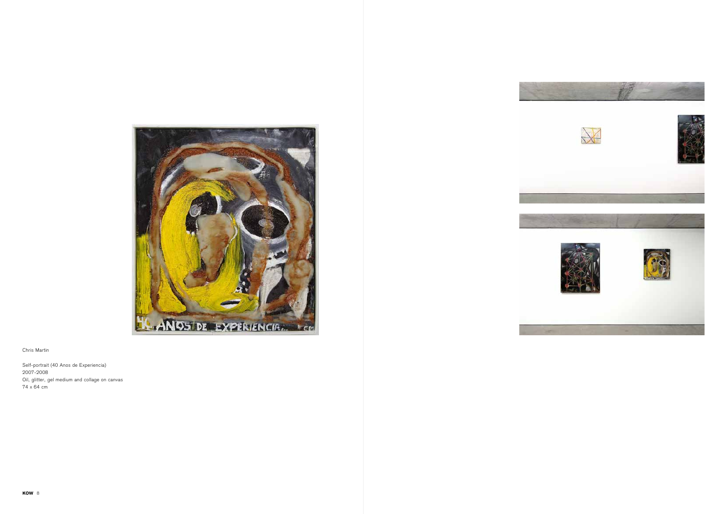

Self-portrait (40 Anos de Experiencia) 2007-2008 Oil, glitter, gel medium and collage on canvas 74 x 64 cm







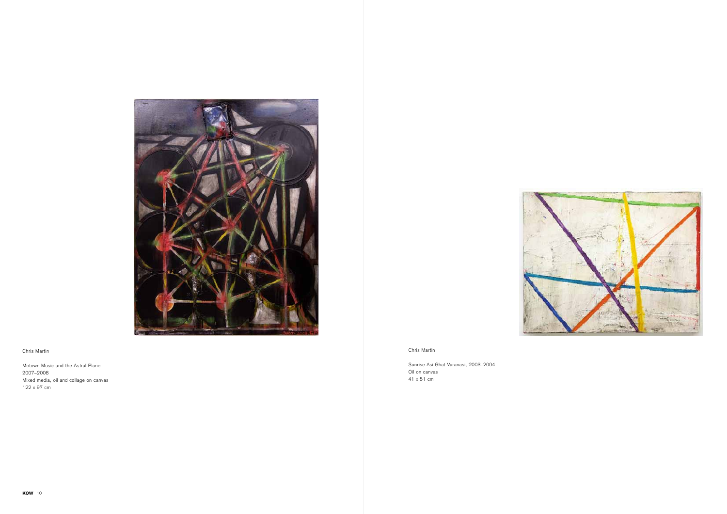Sunrise Asi Ghat Varanasi, 2003–2004 Oil on canvas 41 x 51 cm





# Chris Martin

Motown Music and the Astral Plane 2007–2008 Mixed media, oil and collage on canvas 122 x 97 cm

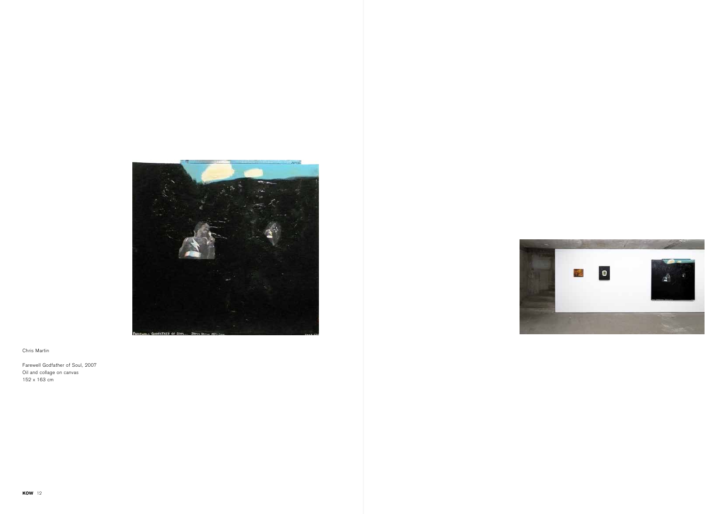

Farewell Godfather of Soul, 2007 Oil and collage on canvas 152 x 163 cm



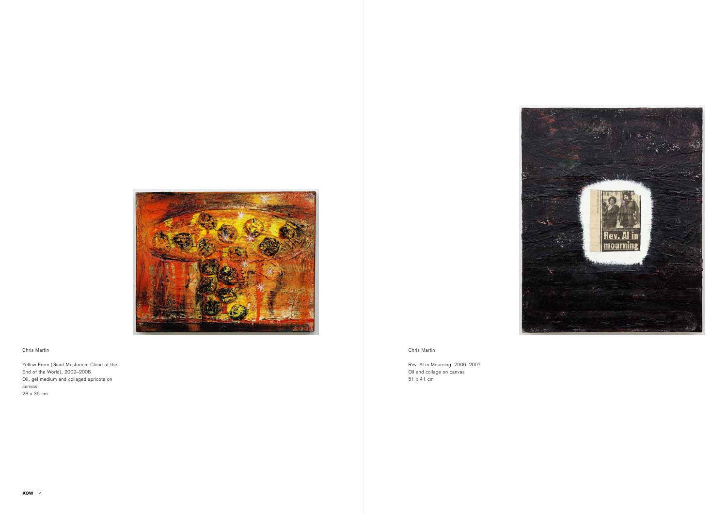

Yellow Form (Giant Mushroom Cloud at the End of the World), 2002–2008 Oil, gel medium and collaged apricots on canvas 28 x 36 cm

Chris Martin

Rev. Al in Mourning, 2006–2007 Oil and collage on canvas 51 x 41 cm

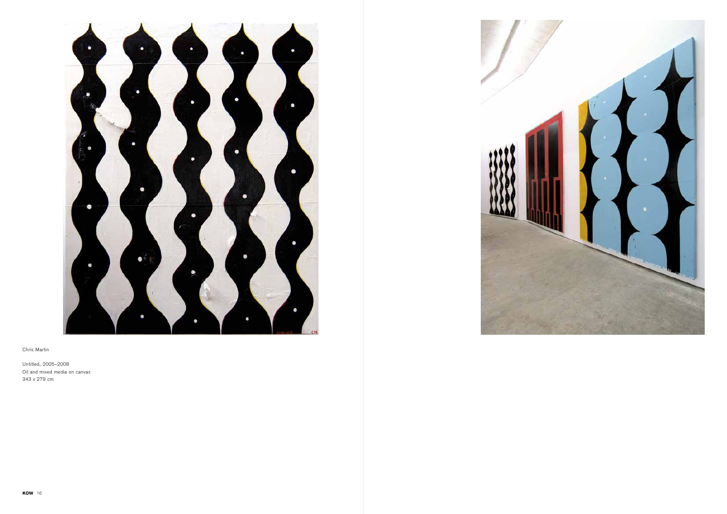

Untitled, 2005–2008 Oil and mixed media on canvas 343 x 279 cm

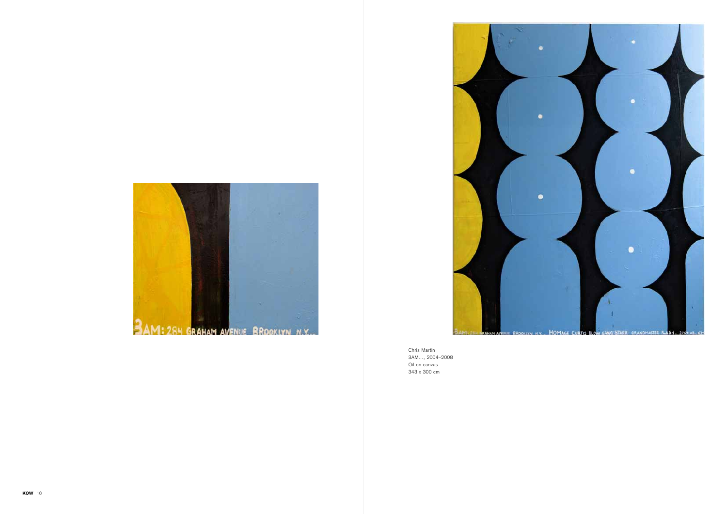



Chris Martin 3AM..., 2004–2008 Oil on canvas 343 x 300 cm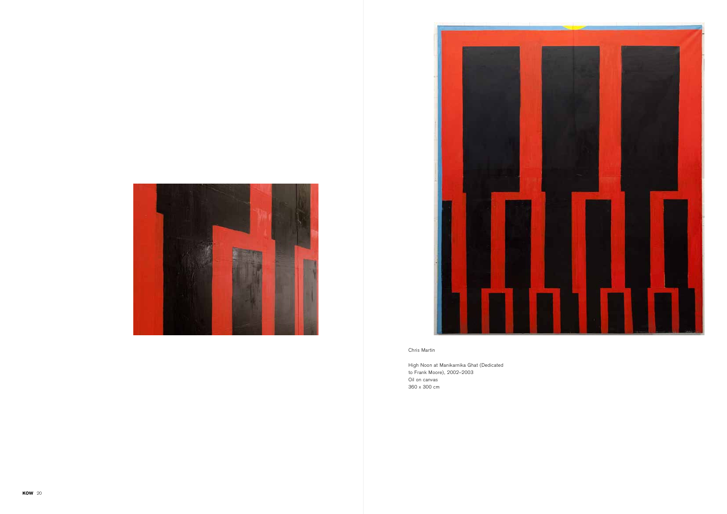



High Noon at Manikarnika Ghat (Dedicated to Frank Moore), 2002–2003 Oil on canvas 360 x 300 cm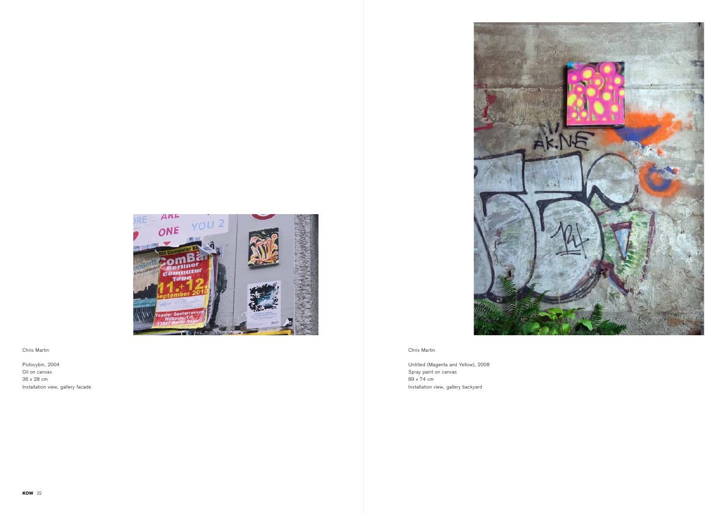

ARL RE  $YOU<sup>2</sup>$ ONE **Compa Tigase** 

Chris Martin

Untitled (Magenta and Yellow), 2008 Spray paint on canvas 89 x 74 cm Installation view, gallery backyard

# Chris Martin

Psilocybin, 2004 Oil on canvas 36 x 28 cm Installation view, gallery facade